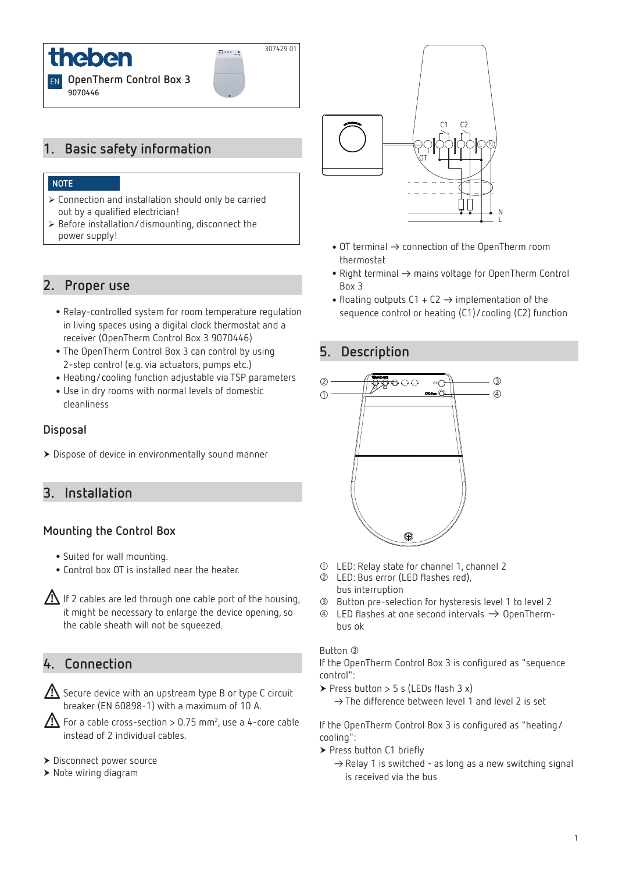

# **1. Basic safety information**

### **NOTE**

- ¾ Connection and installation should only be carried out by a qualified electrician!
- $\triangleright$  Before installation/dismounting, disconnect the power supply!

## **2. Proper use**

- •Relay-controlled system for room temperature regulation in living spaces using a digital clock thermostat and a receiver (OpenTherm Control Box 3 9070446)
- •The OpenTherm Control Box 3 can control by using 2-step control (e.g. via actuators, pumps etc.)
- •Heating/cooling function adjustable via TSP parameters
- •Use in dry rooms with normal levels of domestic cleanliness

#### **Disposal**

Dispose of device in environmentally sound manner

## **3. Installation**

## **Mounting the Control Box**

- •Suited for wall mounting.
- •Control box OT is installed near the heater.

If 2 cables are led through one cable port of the housing, it might be necessary to enlarge the device opening, so the cable sheath will not be squeezed.

# **4. Connection**

 $\bigwedge$  Secure device with an upstream type B or type C circuit breaker (EN 60898-1) with a maximum of 10 A.

 $\bigwedge$  For a cable cross-section > 0.75 mm<sup>2</sup>, use a 4-core cable instead of 2 individual cables.

- Disconnect power source
- ▶ Note wiring diagram



- $\bullet$  OT terminal  $\rightarrow$  connection of the OpenTherm room thermostat
- Right terminal  $\rightarrow$  mains voltage for OpenTherm Control Box 3
- floating outputs  $C1 + C2 \rightarrow$  implementation of the sequence control or heating (C1)/cooling (C2) function

## **5. Description**

307429 01

 $\frac{1}{2}...$ 



- LED: Relay state for channel 1, channel 2
- LED: Bus error (LED flashes red), bus interruption
- Button pre-selection for hysteresis level 1 to level 2
- $\circledast$  LED flashes at one second intervals  $\rightarrow$  OpenThermbus ok

#### Button <sup>3</sup>

If the OpenTherm Control Box 3 is configured as "sequence control":

Press button  $>$  5 s (LEDs flash 3 x)  $\rightarrow$  The difference between level 1 and level 2 is set

If the OpenTherm Control Box 3 is configured as "heating/ cooling":

- ▶ Press button C1 briefly
	- $\rightarrow$  Relay 1 is switched as long as a new switching signal is received via the bus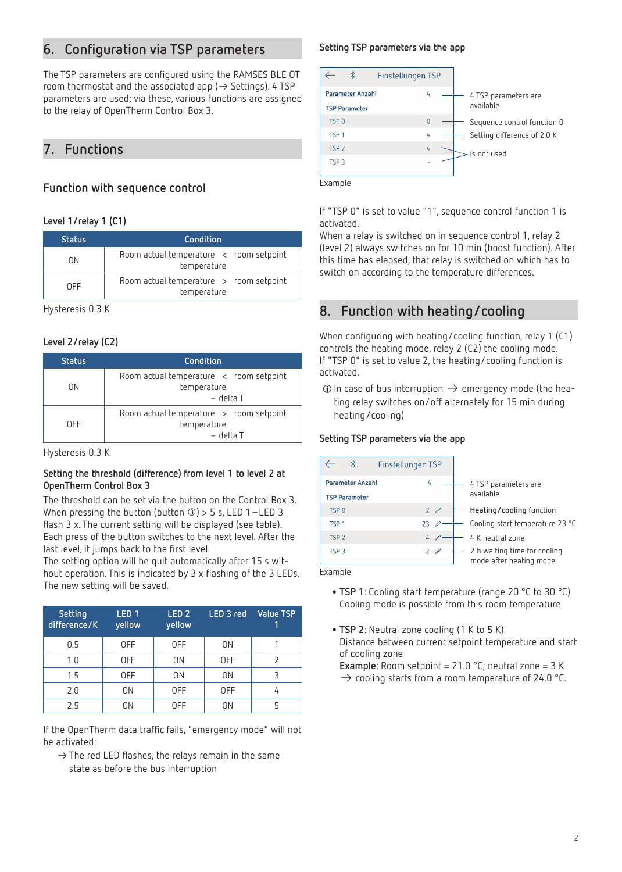# **6. Configuration via TSP parameters**

The TSP parameters are configured using the RAMSES BLE OT room thermostat and the associated app ( $\rightarrow$  Settings). 4 TSP parameters are used; via these, various functions are assigned to the relay of OpenTherm Control Box 3.

# **7. Functions**

## **Function with sequence control**

### **Level 1/relay 1 (C1)**

| <b>Status</b> | Condition                                                          |  |  |
|---------------|--------------------------------------------------------------------|--|--|
| ΩN            | Room actual temperature $\prec$ room setpoint<br>temperature       |  |  |
| <b>OFF</b>    | Room actual temperature $\rightarrow$ room setpoint<br>temperature |  |  |

Hysteresis 0.3 K

### **Level 2/relay (C2)**

| <b>Status</b> | Condition                                                                           |
|---------------|-------------------------------------------------------------------------------------|
| ΩN            | Room actual temperature $\prec$ room setpoint<br>temperature<br>– delta T           |
| 0FF           | Room actual temperature $\rightarrow$ room setpoint<br>temperature<br>$-$ delta $T$ |

Hysteresis 0.3 K

#### **Setting the threshold (difference) from level 1 to level 2 at OpenTherm Control Box 3**

The threshold can be set via the button on the Control Box 3. When pressing the button (button  $\textcircled{3}$ ) > 5 s, LED 1-LED 3 flash 3 x. The current setting will be displayed (see table). Each press of the button switches to the next level. After the last level, it jumps back to the first level.

The setting option will be quit automatically after 15 s without operation. This is indicated by 3 x flashing of the 3 LEDs. The new setting will be saved.

| Setting<br>difference/K | LED <sub>1</sub><br>yellow | LED <sub>2</sub><br>yellow | LED 3 red  | <b>Value TSP</b> |
|-------------------------|----------------------------|----------------------------|------------|------------------|
| 0.5                     | 0FF                        | 0FF                        | 0N         |                  |
| 1.0                     | 0FF                        | ΟN                         | <b>OFF</b> |                  |
| 1.5                     | <b>OFF</b>                 | ΟN                         | 0N         |                  |
| 2.0                     | 0N                         | 0FF                        | 0FF        | 4                |
| 2.5                     | ΟN                         | 0FF                        | ΟN         | 5                |

If the OpenTherm data traffic fails, "emergency mode" will not be activated:

 $\rightarrow$  The red LED flashes, the relays remain in the same state as before the bus interruption

## **Setting TSP parameters via the app**



Example

If "TSP 0" is set to value "1", sequence control function 1 is activated.

When a relay is switched on in sequence control 1, relay 2 (level 2) always switches on for 10 min (boost function). After this time has elapsed, that relay is switched on which has to switch on according to the temperature differences.

# **8. Function with heating/cooling**

When configuring with heating/cooling function, relay 1 (C1) controls the heating mode, relay 2 (C2) the cooling mode. If "TSP 0" is set to value 2, the heating/cooling function is activated.

 $\odot$  In case of bus interruption  $\rightarrow$  emergency mode (the heating relay switches on/off alternately for 15 min during heating/cooling)

## **Setting TSP parameters via the app**

| Einstellungen TSP                               |                |                                                         |
|-------------------------------------------------|----------------|---------------------------------------------------------|
| <b>Parameter Anzahl</b><br><b>TSP Parameter</b> | 4              | 4 TSP parameters are<br>available                       |
| TSP <sub>0</sub>                                | 2              | Heating/cooling function                                |
| TSP <sub>1</sub>                                | 23             | Cooling start temperature 23 °C                         |
| TSP <sub>2</sub>                                | $\overline{4}$ | 4 K neutral zone                                        |
| TSP <sub>3</sub>                                |                | 2 h waiting time for cooling<br>mode after heating mode |
| حاججت حريا                                      |                |                                                         |

Example

- •**TSP 1**: Cooling start temperature (range 20 °C to 30 °C) Cooling mode is possible from this room temperature.
- •**TSP 2**: Neutral zone cooling (1 K to 5 K) Distance between current setpoint temperature and start of cooling zone

**Example**: Room setpoint = 21.0 °C; neutral zone = 3 K

 $\rightarrow$  cooling starts from a room temperature of 24.0 °C.